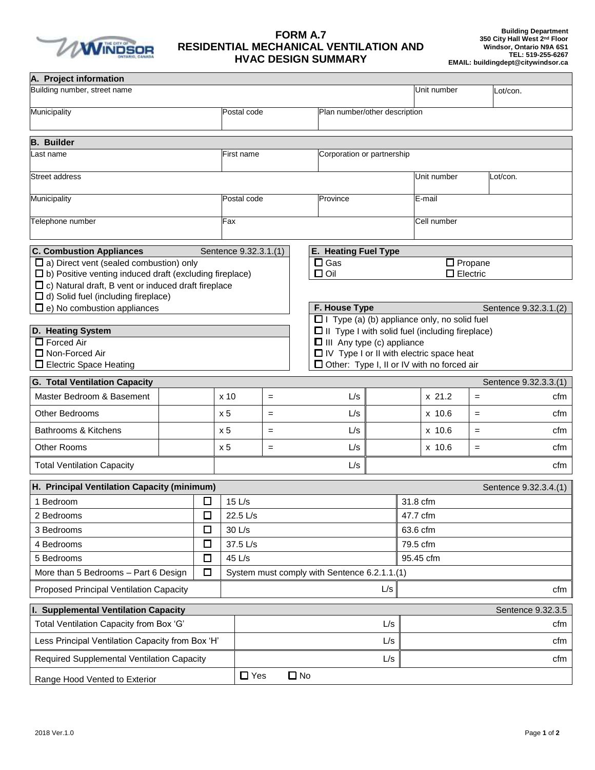

## **FORM A.7 RESIDENTIAL MECHANICAL VENTILATION AND HVAC DESIGN SUMMARY**

| A. Project information<br>Building number, street name                                                                       |               |        |                 |                                              |              |                                                                                             |               |             | Unit number     |                       | Lot/con.              |
|------------------------------------------------------------------------------------------------------------------------------|---------------|--------|-----------------|----------------------------------------------|--------------|---------------------------------------------------------------------------------------------|---------------|-------------|-----------------|-----------------------|-----------------------|
| Municipality                                                                                                                 |               |        |                 | Plan number/other description<br>Postal code |              |                                                                                             |               |             |                 |                       |                       |
|                                                                                                                              |               |        |                 |                                              |              |                                                                                             |               |             |                 |                       |                       |
| <b>B.</b> Builder                                                                                                            |               |        |                 |                                              |              |                                                                                             |               |             |                 |                       |                       |
| Last name                                                                                                                    |               |        |                 | Corporation or partnership<br>First name     |              |                                                                                             |               |             |                 |                       |                       |
| <b>Street address</b>                                                                                                        |               |        |                 |                                              |              |                                                                                             |               | Unit number |                 | Lot/con.              |                       |
|                                                                                                                              |               |        |                 |                                              |              |                                                                                             |               |             |                 |                       |                       |
|                                                                                                                              | Municipality  |        |                 | Postal code                                  |              |                                                                                             | Province      |             | $E$ -mail       |                       |                       |
| Telephone number                                                                                                             |               |        | Fax             |                                              |              |                                                                                             |               | Cell number |                 |                       |                       |
| <b>C. Combustion Appliances</b>                                                                                              |               |        |                 | Sentence 9.32.3.1.(1)                        |              | <b>E. Heating Fuel Type</b>                                                                 |               |             |                 |                       |                       |
| $\square$ a) Direct vent (sealed combustion) only                                                                            |               |        |                 |                                              |              | $\square$ Gas                                                                               |               |             | $\Box$ Propane  |                       |                       |
| $\Box$ b) Positive venting induced draft (excluding fireplace)<br>$\Box$ c) Natural draft, B vent or induced draft fireplace |               |        |                 |                                              |              | $\Box$ Oil                                                                                  |               |             | $\Box$ Electric |                       |                       |
| $\Box$ d) Solid fuel (including fireplace)                                                                                   |               |        |                 |                                              |              |                                                                                             |               |             |                 |                       |                       |
| $\Box$ e) No combustion appliances                                                                                           |               |        |                 |                                              |              |                                                                                             | F. House Type |             |                 | Sentence 9.32.3.1.(2) |                       |
|                                                                                                                              |               |        |                 |                                              |              | $\Box$ I Type (a) (b) appliance only, no solid fuel                                         |               |             |                 |                       |                       |
| D. Heating System<br>$\Box$ Forced Air                                                                                       |               |        |                 |                                              |              | $\Box$ II Type I with solid fuel (including fireplace)<br>$\Box$ III Any type (c) appliance |               |             |                 |                       |                       |
| Non-Forced Air                                                                                                               |               |        |                 |                                              |              | IV Type I or II with electric space heat                                                    |               |             |                 |                       |                       |
| □ Electric Space Heating                                                                                                     |               |        |                 |                                              |              | □ Other: Type I, II or IV with no forced air                                                |               |             |                 |                       |                       |
| <b>G. Total Ventilation Capacity</b>                                                                                         |               |        |                 |                                              |              |                                                                                             |               |             |                 |                       | Sentence 9.32.3.3.(1) |
| Master Bedroom & Basement                                                                                                    |               |        | x <sub>10</sub> | $=$                                          |              | L/s                                                                                         |               |             | $x$ 21.2        | $=$                   | cfm                   |
| <b>Other Bedrooms</b>                                                                                                        |               |        | $\times 5$      | $=$                                          |              | L/s                                                                                         | $x$ 10.6      |             |                 | $=$                   | cfm                   |
| Bathrooms & Kitchens                                                                                                         |               |        | x <sub>5</sub>  | $=$                                          |              | L/s                                                                                         |               |             | x 10.6          | $=$                   | cfm                   |
| <b>Other Rooms</b>                                                                                                           |               |        | x <sub>5</sub>  | $=$                                          |              | L/s                                                                                         | x 10.6        |             |                 | $=$                   | cfm                   |
| <b>Total Ventilation Capacity</b>                                                                                            |               |        |                 |                                              |              | L/s                                                                                         |               |             |                 |                       | cfm                   |
| H. Principal Ventilation Capacity (minimum)                                                                                  |               |        |                 |                                              |              |                                                                                             |               |             |                 |                       | Sentence 9.32.3.4.(1) |
| 1 Bedroom                                                                                                                    |               | □      |                 | $15$ L/s                                     |              |                                                                                             | 31.8 cfm      |             |                 |                       |                       |
| 2 Bedrooms                                                                                                                   |               | □      |                 | 22.5 L/s                                     |              |                                                                                             | 47.7 cfm      |             |                 |                       |                       |
| 3 Bedrooms                                                                                                                   |               | $\Box$ | 30 L/s          |                                              |              | 63.6 cfm                                                                                    |               |             |                 |                       |                       |
| 4 Bedrooms                                                                                                                   | 37.5 L/s<br>□ |        |                 |                                              |              |                                                                                             |               | 79.5 cfm    |                 |                       |                       |
| 5 Bedrooms                                                                                                                   |               | $\Box$ | 45 L/s          |                                              |              | 95.45 cfm                                                                                   |               |             |                 |                       |                       |
| $\Box$<br>More than 5 Bedrooms - Part 6 Design                                                                               |               |        |                 | System must comply with Sentence 6.2.1.1.(1) |              |                                                                                             |               |             |                 |                       |                       |
| <b>Proposed Principal Ventilation Capacity</b>                                                                               |               |        |                 |                                              |              |                                                                                             | L/s           |             |                 |                       | cfm                   |
| <b>Supplemental Ventilation Capacity</b>                                                                                     |               |        |                 |                                              |              |                                                                                             |               |             |                 |                       | Sentence 9.32.3.5     |
| Total Ventilation Capacity from Box 'G'                                                                                      |               |        |                 |                                              |              |                                                                                             | L/s           |             |                 |                       | cfm                   |
| Less Principal Ventilation Capacity from Box 'H'                                                                             |               |        |                 |                                              |              | L/s                                                                                         |               |             | cfm             |                       |                       |
| Required Supplemental Ventilation Capacity                                                                                   |               |        |                 |                                              |              |                                                                                             | L/s           |             |                 |                       | cfm                   |
| Range Hood Vented to Exterior                                                                                                |               |        |                 | $\Box$ Yes                                   | $\square$ No |                                                                                             |               |             |                 |                       |                       |